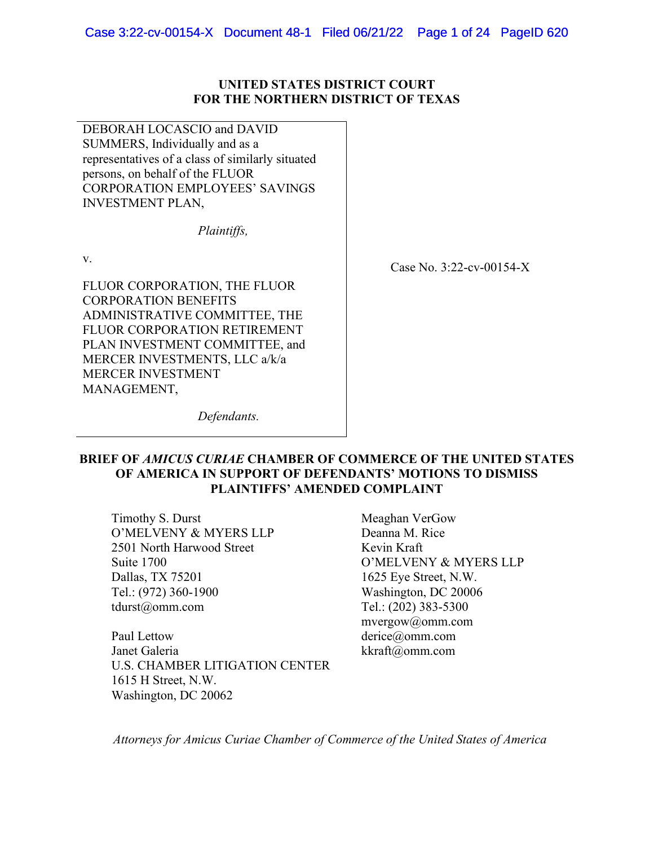### **UNITED STATES DISTRICT COURT FOR THE NORTHERN DISTRICT OF TEXAS**

DEBORAH LOCASCIO and DAVID SUMMERS, Individually and as a representatives of a class of similarly situated persons, on behalf of the FLUOR CORPORATION EMPLOYEES' SAVINGS INVESTMENT PLAN,

*Plaintiffs,*

v.

FLUOR CORPORATION, THE FLUOR CORPORATION BENEFITS ADMINISTRATIVE COMMITTEE, THE FLUOR CORPORATION RETIREMENT PLAN INVESTMENT COMMITTEE, and MERCER INVESTMENTS, LLC a/k/a MERCER INVESTMENT MANAGEMENT,

Case No. 3:22-cv-00154-X

*Defendants.*

## **BRIEF OF** *AMICUS CURIAE* **CHAMBER OF COMMERCE OF THE UNITED STATES OF AMERICA IN SUPPORT OF DEFENDANTS' MOTIONS TO DISMISS PLAINTIFFS' AMENDED COMPLAINT**

Timothy S. Durst O'MELVENY & MYERS LLP 2501 North Harwood Street Suite 1700 Dallas, TX 75201 Tel.: (972) 360-1900 tdurst@omm.com

Paul Lettow Janet Galeria U.S. CHAMBER LITIGATION CENTER 1615 H Street, N.W. Washington, DC 20062

Meaghan VerGow Deanna M. Rice Kevin Kraft O'MELVENY & MYERS LLP 1625 Eye Street, N.W. Washington, DC 20006 Tel.: (202) 383-5300 mvergow@omm.com derice@omm.com kkraft@omm.com

*Attorneys for Amicus Curiae Chamber of Commerce of the United States of America*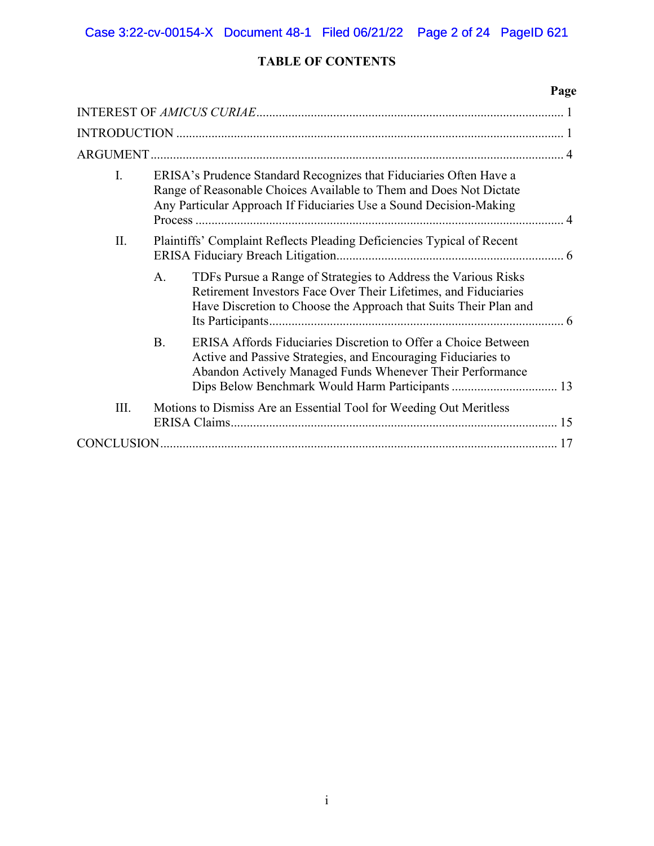# **TABLE OF CONTENTS**

|             |                                                                                                                                                                                                                         | Page |
|-------------|-------------------------------------------------------------------------------------------------------------------------------------------------------------------------------------------------------------------------|------|
|             |                                                                                                                                                                                                                         |      |
|             |                                                                                                                                                                                                                         |      |
|             |                                                                                                                                                                                                                         |      |
| I.          | ERISA's Prudence Standard Recognizes that Fiduciaries Often Have a<br>Range of Reasonable Choices Available to Them and Does Not Dictate<br>Any Particular Approach If Fiduciaries Use a Sound Decision-Making          |      |
| II.         | Plaintiffs' Complaint Reflects Pleading Deficiencies Typical of Recent                                                                                                                                                  |      |
|             | TDFs Pursue a Range of Strategies to Address the Various Risks<br>$\mathsf{A}$ .<br>Retirement Investors Face Over Their Lifetimes, and Fiduciaries<br>Have Discretion to Choose the Approach that Suits Their Plan and |      |
|             | ERISA Affords Fiduciaries Discretion to Offer a Choice Between<br><b>B.</b><br>Active and Passive Strategies, and Encouraging Fiduciaries to<br>Abandon Actively Managed Funds Whenever Their Performance               |      |
| III.        | Motions to Dismiss Are an Essential Tool for Weeding Out Meritless                                                                                                                                                      |      |
| CONCLUSION. |                                                                                                                                                                                                                         |      |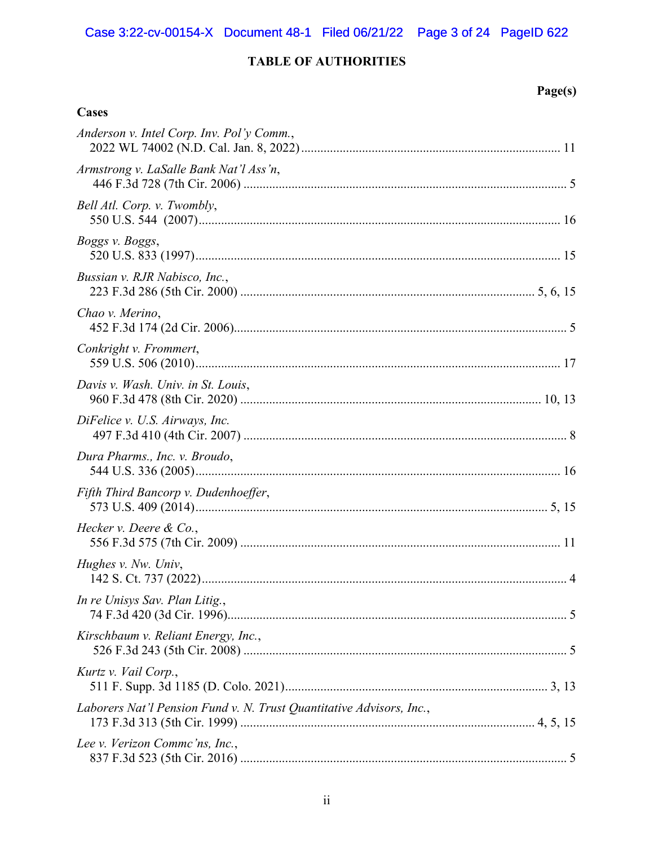# **TABLE OF AUTHORITIES**

**Cases** 

# Page(s)

| Anderson v. Intel Corp. Inv. Pol'y Comm.,                            |
|----------------------------------------------------------------------|
| Armstrong v. LaSalle Bank Nat'l Ass'n,                               |
| Bell Atl. Corp. v. Twombly,                                          |
| Boggs v. Boggs,                                                      |
| Bussian v. RJR Nabisco, Inc.,                                        |
| Chao v. Merino,                                                      |
| Conkright v. Frommert,                                               |
| Davis v. Wash. Univ. in St. Louis,                                   |
| DiFelice v. U.S. Airways, Inc.                                       |
| Dura Pharms., Inc. v. Broudo,                                        |
| Fifth Third Bancorp v. Dudenhoeffer,                                 |
| Hecker v. Deere & Co.,                                               |
| Hughes v. Nw. Univ,                                                  |
| In re Unisys Sav. Plan Litig.,                                       |
| Kirschbaum v. Reliant Energy, Inc.,                                  |
| Kurtz v. Vail Corp.,                                                 |
| Laborers Nat'l Pension Fund v. N. Trust Quantitative Advisors, Inc., |
| Lee v. Verizon Commc'ns, Inc.,                                       |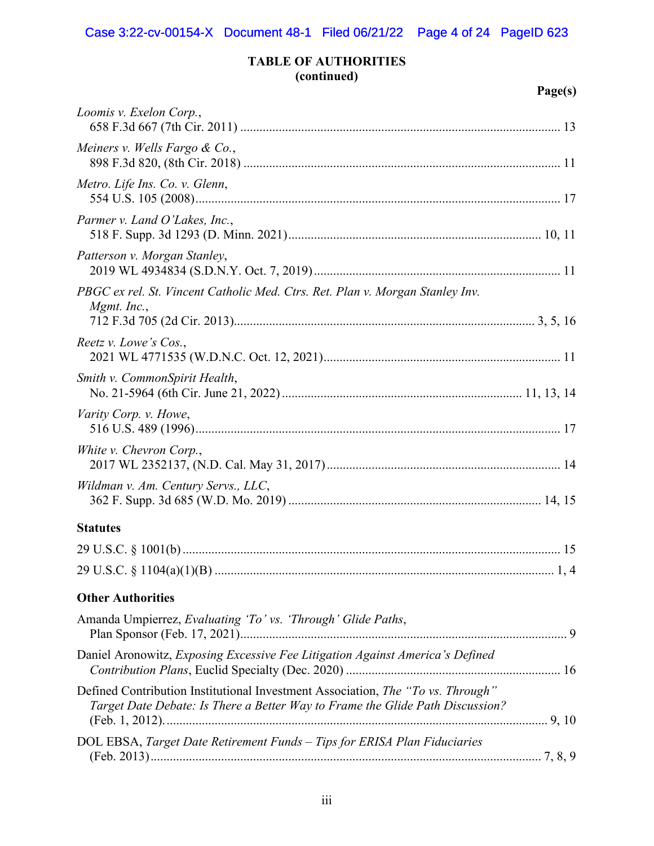# **TABLE OF AUTHORITIES (continued)**

# **Page(s)**

| Loomis v. Exelon Corp.,                                                                                                                                          |  |
|------------------------------------------------------------------------------------------------------------------------------------------------------------------|--|
| Meiners v. Wells Fargo $\&$ Co.,                                                                                                                                 |  |
| Metro. Life Ins. Co. v. Glenn,                                                                                                                                   |  |
| Parmer v. Land O'Lakes, Inc.,                                                                                                                                    |  |
| Patterson v. Morgan Stanley,                                                                                                                                     |  |
| PBGC ex rel. St. Vincent Catholic Med. Ctrs. Ret. Plan v. Morgan Stanley Inv.<br>Mgmt. Inc.,                                                                     |  |
| Reetz v. Lowe's Cos.,                                                                                                                                            |  |
| Smith v. CommonSpirit Health,                                                                                                                                    |  |
| Varity Corp. v. Howe,                                                                                                                                            |  |
| White v. Chevron Corp.,                                                                                                                                          |  |
| Wildman v. Am. Century Servs., LLC,                                                                                                                              |  |
| <b>Statutes</b>                                                                                                                                                  |  |
|                                                                                                                                                                  |  |
|                                                                                                                                                                  |  |
| <b>Other Authorities</b>                                                                                                                                         |  |
| Amanda Umpierrez, Evaluating 'To' vs. 'Through' Glide Paths,                                                                                                     |  |
| Daniel Aronowitz, Exposing Excessive Fee Litigation Against America's Defined                                                                                    |  |
| Defined Contribution Institutional Investment Association, The "To vs. Through"<br>Target Date Debate: Is There a Better Way to Frame the Glide Path Discussion? |  |
| DOL EBSA, Target Date Retirement Funds - Tips for ERISA Plan Fiduciaries                                                                                         |  |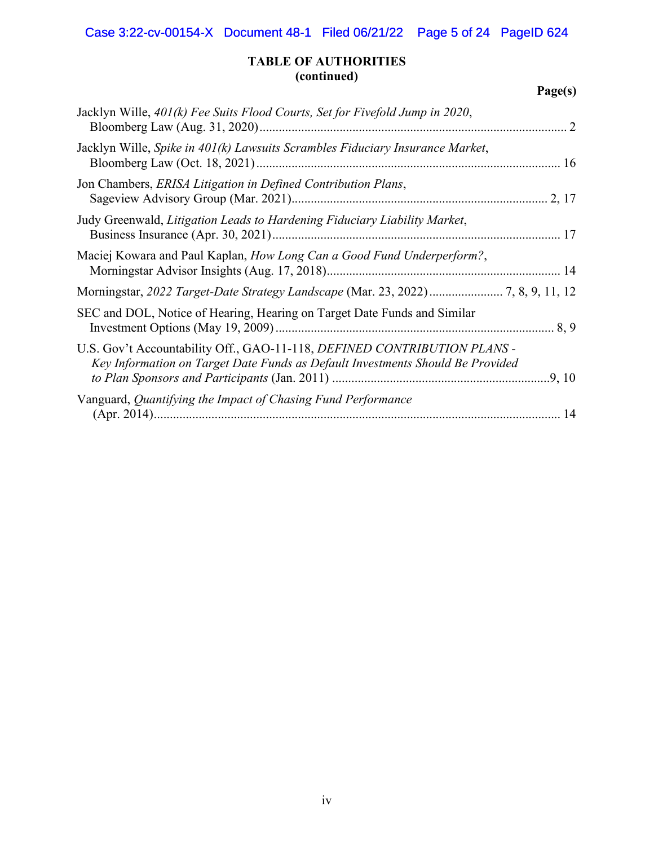## **TABLE OF AUTHORITIES (continued)**

# **Page(s)**

| Jacklyn Wille, 401(k) Fee Suits Flood Courts, Set for Fivefold Jump in 2020,                                                                               |
|------------------------------------------------------------------------------------------------------------------------------------------------------------|
| Jacklyn Wille, Spike in $401(k)$ Lawsuits Scrambles Fiduciary Insurance Market,                                                                            |
| Jon Chambers, ERISA Litigation in Defined Contribution Plans,                                                                                              |
| Judy Greenwald, Litigation Leads to Hardening Fiduciary Liability Market,                                                                                  |
| Maciej Kowara and Paul Kaplan, How Long Can a Good Fund Underperform?,                                                                                     |
| Morningstar, 2022 Target-Date Strategy Landscape (Mar. 23, 2022) 7, 8, 9, 11, 12                                                                           |
| SEC and DOL, Notice of Hearing, Hearing on Target Date Funds and Similar                                                                                   |
| U.S. Gov't Accountability Off., GAO-11-118, DEFINED CONTRIBUTION PLANS -<br>Key Information on Target Date Funds as Default Investments Should Be Provided |
| Vanguard, Quantifying the Impact of Chasing Fund Performance                                                                                               |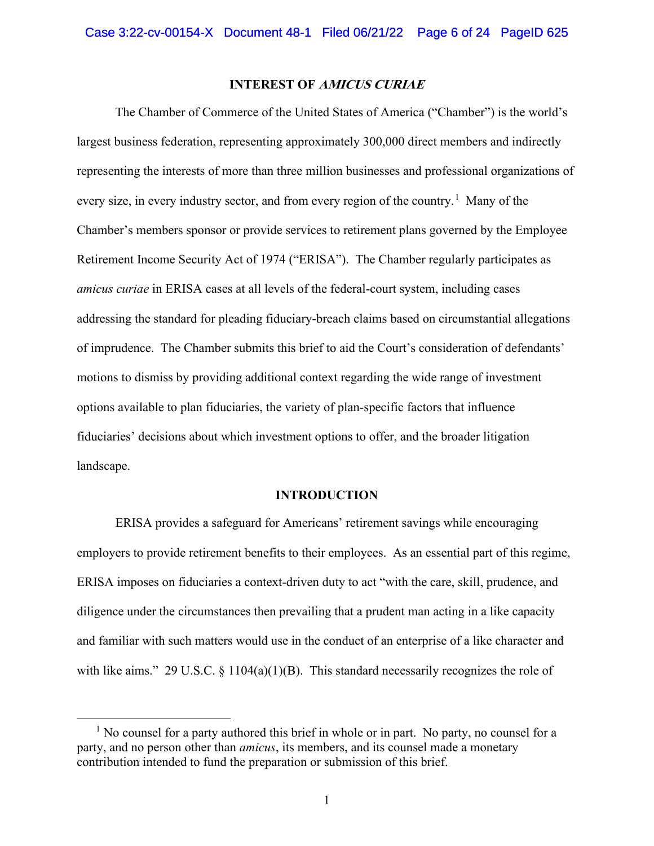### **INTEREST OF AMICUS CURIAE**

<span id="page-5-0"></span>The Chamber of Commerce of the United States of America ("Chamber") is the world's largest business federation, representing approximately 300,000 direct members and indirectly representing the interests of more than three million businesses and professional organizations of every size, in every industry sector, and from every region of the country.<sup>[1](#page-5-2)</sup> Many of the Chamber's members sponsor or provide services to retirement plans governed by the Employee Retirement Income Security Act of 1974 ("ERISA"). The Chamber regularly participates as *amicus curiae* in ERISA cases at all levels of the federal-court system, including cases addressing the standard for pleading fiduciary-breach claims based on circumstantial allegations of imprudence. The Chamber submits this brief to aid the Court's consideration of defendants' motions to dismiss by providing additional context regarding the wide range of investment options available to plan fiduciaries, the variety of plan-specific factors that influence fiduciaries' decisions about which investment options to offer, and the broader litigation landscape.

#### **INTRODUCTION**

<span id="page-5-1"></span>ERISA provides a safeguard for Americans' retirement savings while encouraging employers to provide retirement benefits to their employees. As an essential part of this regime, ERISA imposes on fiduciaries a context-driven duty to act "with the care, skill, prudence, and diligence under the circumstances then prevailing that a prudent man acting in a like capacity and familiar with such matters would use in the conduct of an enterprise of a like character and with like aims." 29 U.S.C.  $\S$  1104(a)(1)(B). This standard necessarily recognizes the role of

<span id="page-5-2"></span> $<sup>1</sup>$  No counsel for a party authored this brief in whole or in part. No party, no counsel for a</sup> party, and no person other than *amicus*, its members, and its counsel made a monetary contribution intended to fund the preparation or submission of this brief.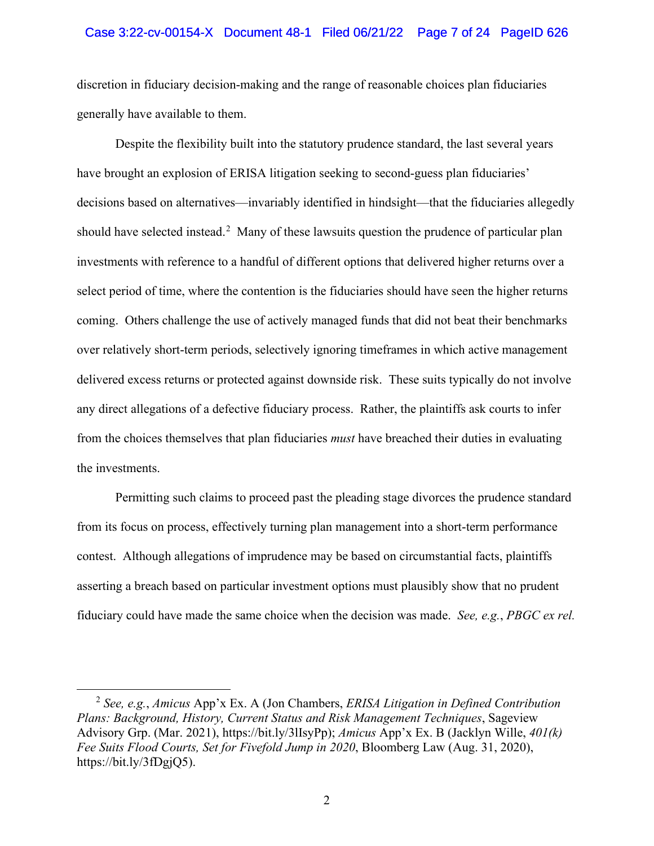#### Case 3:22-cv-00154-X Document 48-1 Filed 06/21/22 Page 7 of 24 PageID 626

discretion in fiduciary decision-making and the range of reasonable choices plan fiduciaries generally have available to them.

Despite the flexibility built into the statutory prudence standard, the last several years have brought an explosion of ERISA litigation seeking to second-guess plan fiduciaries' decisions based on alternatives—invariably identified in hindsight—that the fiduciaries allegedly should have selected instead.<sup>[2](#page-6-0)</sup> Many of these lawsuits question the prudence of particular plan investments with reference to a handful of different options that delivered higher returns over a select period of time, where the contention is the fiduciaries should have seen the higher returns coming. Others challenge the use of actively managed funds that did not beat their benchmarks over relatively short-term periods, selectively ignoring timeframes in which active management delivered excess returns or protected against downside risk. These suits typically do not involve any direct allegations of a defective fiduciary process. Rather, the plaintiffs ask courts to infer from the choices themselves that plan fiduciaries *must* have breached their duties in evaluating the investments.

Permitting such claims to proceed past the pleading stage divorces the prudence standard from its focus on process, effectively turning plan management into a short-term performance contest. Although allegations of imprudence may be based on circumstantial facts, plaintiffs asserting a breach based on particular investment options must plausibly show that no prudent fiduciary could have made the same choice when the decision was made. *See, e.g.*, *PBGC ex rel.* 

<span id="page-6-0"></span><sup>2</sup> *See, e.g.*, *Amicus* App'x Ex. A (Jon Chambers, *ERISA Litigation in Defined Contribution Plans: Background, History, Current Status and Risk Management Techniques*, Sageview Advisory Grp. (Mar. 2021), https://bit.ly/3lIsyPp); *Amicus* App'x Ex. B (Jacklyn Wille, *401(k) Fee Suits Flood Courts, Set for Fivefold Jump in 2020*, Bloomberg Law (Aug. 31, 2020), https://bit.ly/3fDgjQ5).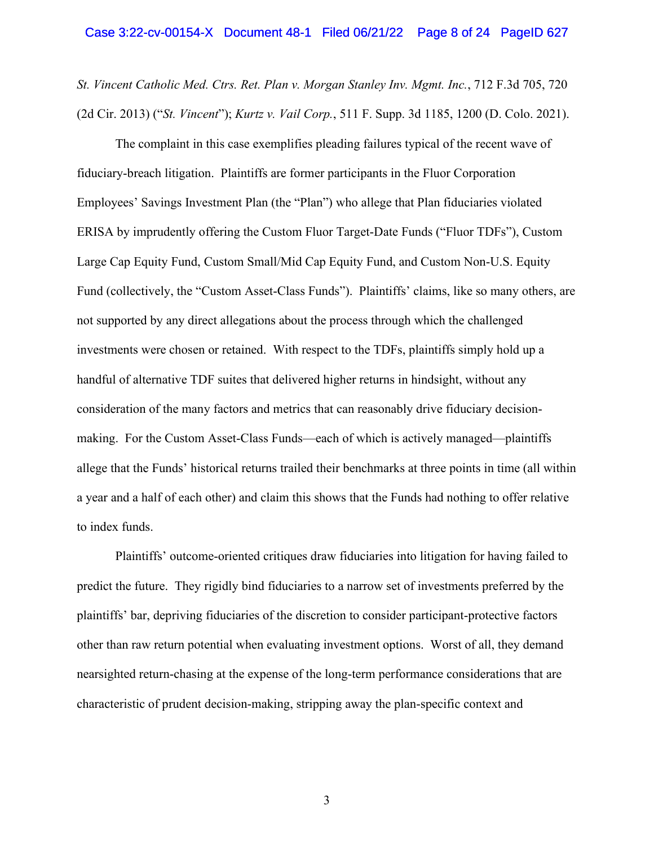#### Case 3:22-cv-00154-X Document 48-1 Filed 06/21/22 Page 8 of 24 PageID 627

*St. Vincent Catholic Med. Ctrs. Ret. Plan v. Morgan Stanley Inv. Mgmt. Inc.*, 712 F.3d 705, 720 (2d Cir. 2013) ("*St. Vincent*"); *Kurtz v. Vail Corp.*, 511 F. Supp. 3d 1185, 1200 (D. Colo. 2021).

The complaint in this case exemplifies pleading failures typical of the recent wave of fiduciary-breach litigation. Plaintiffs are former participants in the Fluor Corporation Employees' Savings Investment Plan (the "Plan") who allege that Plan fiduciaries violated ERISA by imprudently offering the Custom Fluor Target-Date Funds ("Fluor TDFs"), Custom Large Cap Equity Fund, Custom Small/Mid Cap Equity Fund, and Custom Non-U.S. Equity Fund (collectively, the "Custom Asset-Class Funds"). Plaintiffs' claims, like so many others, are not supported by any direct allegations about the process through which the challenged investments were chosen or retained. With respect to the TDFs, plaintiffs simply hold up a handful of alternative TDF suites that delivered higher returns in hindsight, without any consideration of the many factors and metrics that can reasonably drive fiduciary decisionmaking. For the Custom Asset-Class Funds—each of which is actively managed—plaintiffs allege that the Funds' historical returns trailed their benchmarks at three points in time (all within a year and a half of each other) and claim this shows that the Funds had nothing to offer relative to index funds.

Plaintiffs' outcome-oriented critiques draw fiduciaries into litigation for having failed to predict the future. They rigidly bind fiduciaries to a narrow set of investments preferred by the plaintiffs' bar, depriving fiduciaries of the discretion to consider participant-protective factors other than raw return potential when evaluating investment options. Worst of all, they demand nearsighted return-chasing at the expense of the long-term performance considerations that are characteristic of prudent decision-making, stripping away the plan-specific context and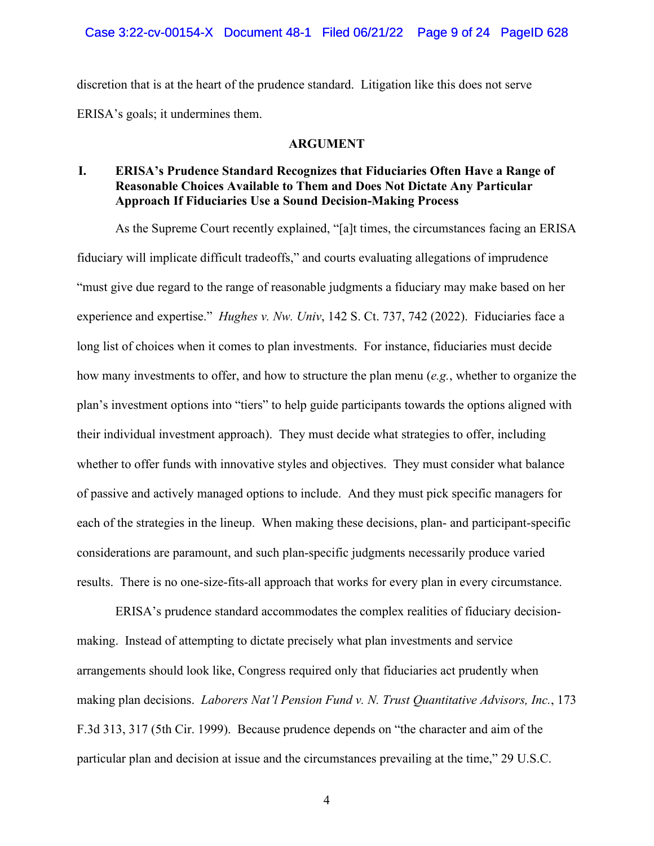discretion that is at the heart of the prudence standard. Litigation like this does not serve ERISA's goals; it undermines them.

#### **ARGUMENT**

## <span id="page-8-1"></span><span id="page-8-0"></span>**I. ERISA's Prudence Standard Recognizes that Fiduciaries Often Have a Range of Reasonable Choices Available to Them and Does Not Dictate Any Particular Approach If Fiduciaries Use a Sound Decision-Making Process**

As the Supreme Court recently explained, "[a]t times, the circumstances facing an ERISA fiduciary will implicate difficult tradeoffs," and courts evaluating allegations of imprudence "must give due regard to the range of reasonable judgments a fiduciary may make based on her experience and expertise." *Hughes v. Nw. Univ*, 142 S. Ct. 737, 742 (2022). Fiduciaries face a long list of choices when it comes to plan investments. For instance, fiduciaries must decide how many investments to offer, and how to structure the plan menu (*e.g.*, whether to organize the plan's investment options into "tiers" to help guide participants towards the options aligned with their individual investment approach). They must decide what strategies to offer, including whether to offer funds with innovative styles and objectives. They must consider what balance of passive and actively managed options to include. And they must pick specific managers for each of the strategies in the lineup. When making these decisions, plan- and participant-specific considerations are paramount, and such plan-specific judgments necessarily produce varied results. There is no one-size-fits-all approach that works for every plan in every circumstance.

ERISA's prudence standard accommodates the complex realities of fiduciary decisionmaking. Instead of attempting to dictate precisely what plan investments and service arrangements should look like, Congress required only that fiduciaries act prudently when making plan decisions. *Laborers Nat'l Pension Fund v. N. Trust Quantitative Advisors, Inc.*, 173 F.3d 313, 317 (5th Cir. 1999). Because prudence depends on "the character and aim of the particular plan and decision at issue and the circumstances prevailing at the time," 29 U.S.C.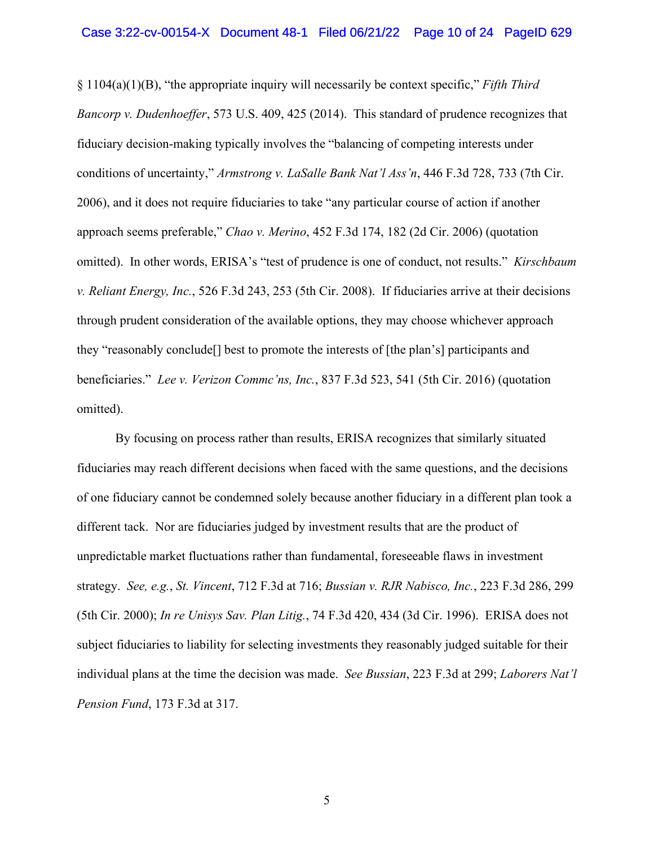§ 1104(a)(1)(B), "the appropriate inquiry will necessarily be context specific," *Fifth Third Bancorp v. Dudenhoeffer*, 573 U.S. 409, 425 (2014). This standard of prudence recognizes that fiduciary decision-making typically involves the "balancing of competing interests under conditions of uncertainty," *Armstrong v. LaSalle Bank Nat'l Ass'n*, 446 F.3d 728, 733 (7th Cir. 2006), and it does not require fiduciaries to take "any particular course of action if another approach seems preferable," *Chao v. Merino*, 452 F.3d 174, 182 (2d Cir. 2006) (quotation omitted). In other words, ERISA's "test of prudence is one of conduct, not results." *Kirschbaum v. Reliant Energy, Inc.*, 526 F.3d 243, 253 (5th Cir. 2008). If fiduciaries arrive at their decisions through prudent consideration of the available options, they may choose whichever approach they "reasonably conclude[] best to promote the interests of [the plan's] participants and beneficiaries." *Lee v. Verizon Commc'ns, Inc.*, 837 F.3d 523, 541 (5th Cir. 2016) (quotation omitted).

By focusing on process rather than results, ERISA recognizes that similarly situated fiduciaries may reach different decisions when faced with the same questions, and the decisions of one fiduciary cannot be condemned solely because another fiduciary in a different plan took a different tack. Nor are fiduciaries judged by investment results that are the product of unpredictable market fluctuations rather than fundamental, foreseeable flaws in investment strategy. *See, e.g.*, *St. Vincent*, 712 F.3d at 716; *Bussian v. RJR Nabisco, Inc.*, 223 F.3d 286, 299 (5th Cir. 2000); *In re Unisys Sav. Plan Litig.*, 74 F.3d 420, 434 (3d Cir. 1996). ERISA does not subject fiduciaries to liability for selecting investments they reasonably judged suitable for their individual plans at the time the decision was made. *See Bussian*, 223 F.3d at 299; *Laborers Nat'l Pension Fund*, 173 F.3d at 317.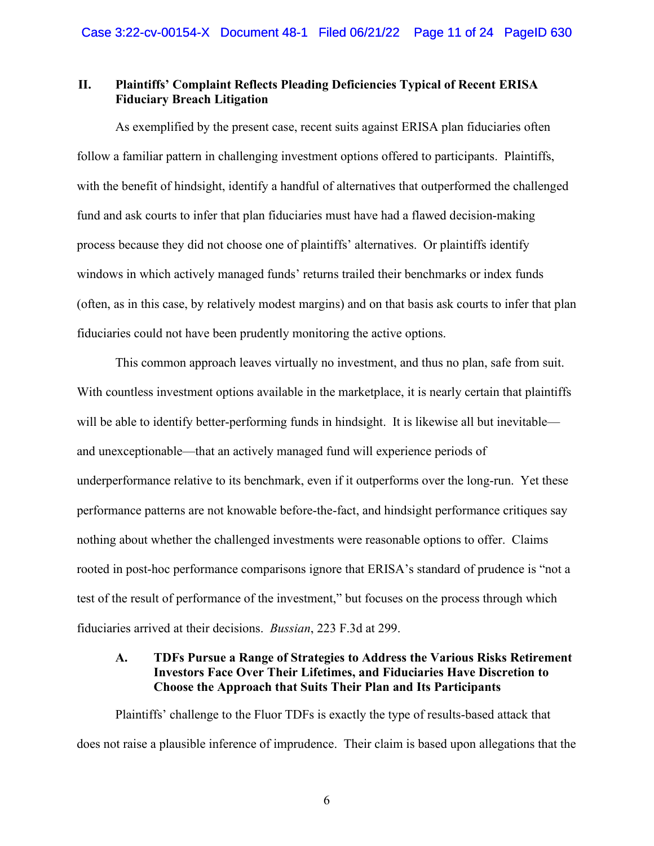## <span id="page-10-0"></span>**II. Plaintiffs' Complaint Reflects Pleading Deficiencies Typical of Recent ERISA Fiduciary Breach Litigation**

As exemplified by the present case, recent suits against ERISA plan fiduciaries often follow a familiar pattern in challenging investment options offered to participants. Plaintiffs, with the benefit of hindsight, identify a handful of alternatives that outperformed the challenged fund and ask courts to infer that plan fiduciaries must have had a flawed decision-making process because they did not choose one of plaintiffs' alternatives. Or plaintiffs identify windows in which actively managed funds' returns trailed their benchmarks or index funds (often, as in this case, by relatively modest margins) and on that basis ask courts to infer that plan fiduciaries could not have been prudently monitoring the active options.

This common approach leaves virtually no investment, and thus no plan, safe from suit. With countless investment options available in the marketplace, it is nearly certain that plaintiffs will be able to identify better-performing funds in hindsight. It is likewise all but inevitable and unexceptionable—that an actively managed fund will experience periods of underperformance relative to its benchmark, even if it outperforms over the long-run. Yet these performance patterns are not knowable before-the-fact, and hindsight performance critiques say nothing about whether the challenged investments were reasonable options to offer. Claims rooted in post-hoc performance comparisons ignore that ERISA's standard of prudence is "not a test of the result of performance of the investment," but focuses on the process through which fiduciaries arrived at their decisions. *Bussian*, 223 F.3d at 299.

## <span id="page-10-1"></span>**A. TDFs Pursue a Range of Strategies to Address the Various Risks Retirement Investors Face Over Their Lifetimes, and Fiduciaries Have Discretion to Choose the Approach that Suits Their Plan and Its Participants**

Plaintiffs' challenge to the Fluor TDFs is exactly the type of results-based attack that does not raise a plausible inference of imprudence. Their claim is based upon allegations that the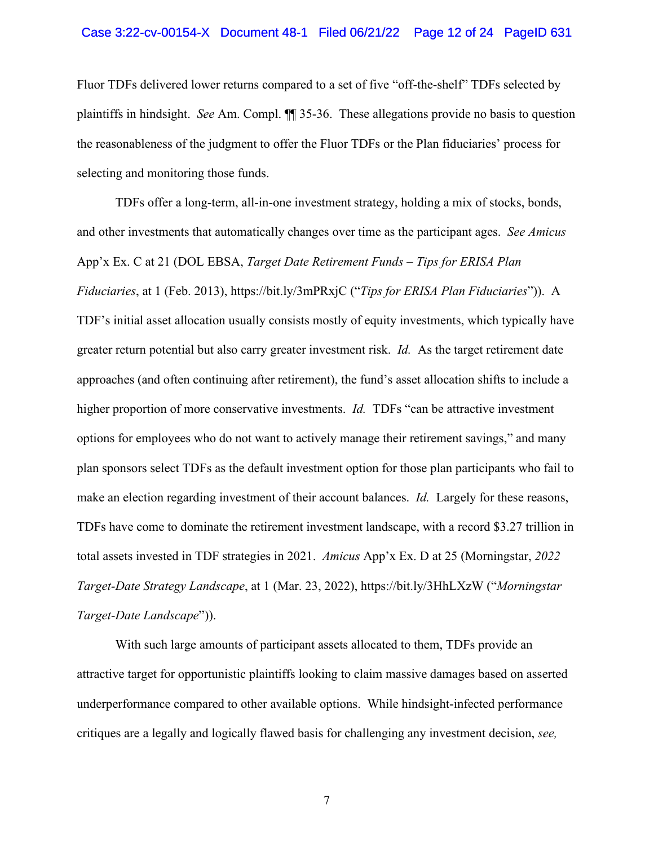### Case 3:22-cv-00154-X Document 48-1 Filed 06/21/22 Page 12 of 24 PageID 631

Fluor TDFs delivered lower returns compared to a set of five "off-the-shelf" TDFs selected by plaintiffs in hindsight. *See* Am. Compl. ¶¶ 35-36. These allegations provide no basis to question the reasonableness of the judgment to offer the Fluor TDFs or the Plan fiduciaries' process for selecting and monitoring those funds.

TDFs offer a long-term, all-in-one investment strategy, holding a mix of stocks, bonds, and other investments that automatically changes over time as the participant ages. *See Amicus*  App'x Ex. C at 21 (DOL EBSA, *Target Date Retirement Funds – Tips for ERISA Plan Fiduciaries*, at 1 (Feb. 2013), https://bit.ly/3mPRxjC ("*Tips for ERISA Plan Fiduciaries*")). A TDF's initial asset allocation usually consists mostly of equity investments, which typically have greater return potential but also carry greater investment risk. *Id.* As the target retirement date approaches (and often continuing after retirement), the fund's asset allocation shifts to include a higher proportion of more conservative investments. *Id.* TDFs "can be attractive investment options for employees who do not want to actively manage their retirement savings," and many plan sponsors select TDFs as the default investment option for those plan participants who fail to make an election regarding investment of their account balances. *Id.* Largely for these reasons, TDFs have come to dominate the retirement investment landscape, with a record \$3.27 trillion in total assets invested in TDF strategies in 2021. *Amicus* App'x Ex. D at 25 (Morningstar, *2022 Target-Date Strategy Landscape*, at 1 (Mar. 23, 2022), https://bit.ly/3HhLXzW ("*Morningstar Target-Date Landscape*")).

With such large amounts of participant assets allocated to them, TDFs provide an attractive target for opportunistic plaintiffs looking to claim massive damages based on asserted underperformance compared to other available options. While hindsight-infected performance critiques are a legally and logically flawed basis for challenging any investment decision, *see,*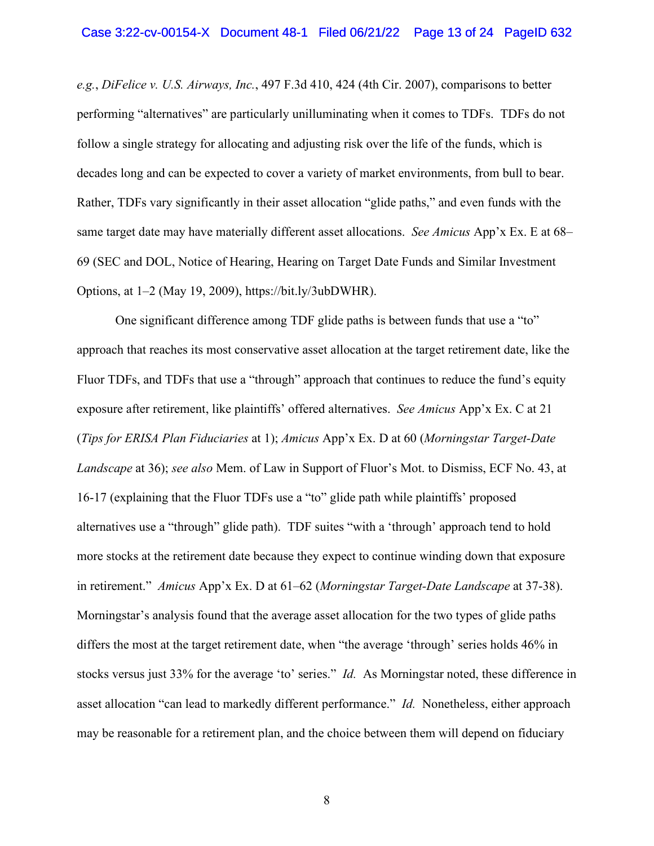*e.g.*, *DiFelice v. U.S. Airways, Inc.*, 497 F.3d 410, 424 (4th Cir. 2007), comparisons to better performing "alternatives" are particularly unilluminating when it comes to TDFs. TDFs do not follow a single strategy for allocating and adjusting risk over the life of the funds, which is decades long and can be expected to cover a variety of market environments, from bull to bear. Rather, TDFs vary significantly in their asset allocation "glide paths," and even funds with the same target date may have materially different asset allocations. *See Amicus* App'x Ex. E at 68– 69 (SEC and DOL, Notice of Hearing, Hearing on Target Date Funds and Similar Investment Options, at 1–2 (May 19, 2009), https://bit.ly/3ubDWHR).

One significant difference among TDF glide paths is between funds that use a "to" approach that reaches its most conservative asset allocation at the target retirement date, like the Fluor TDFs, and TDFs that use a "through" approach that continues to reduce the fund's equity exposure after retirement, like plaintiffs' offered alternatives. *See Amicus* App'x Ex. C at 21 (*Tips for ERISA Plan Fiduciaries* at 1); *Amicus* App'x Ex. D at 60 (*Morningstar Target-Date Landscape* at 36); *see also* Mem. of Law in Support of Fluor's Mot. to Dismiss, ECF No. 43, at 16-17 (explaining that the Fluor TDFs use a "to" glide path while plaintiffs' proposed alternatives use a "through" glide path). TDF suites "with a 'through' approach tend to hold more stocks at the retirement date because they expect to continue winding down that exposure in retirement." *Amicus* App'x Ex. D at 61–62 (*Morningstar Target-Date Landscape* at 37-38). Morningstar's analysis found that the average asset allocation for the two types of glide paths differs the most at the target retirement date, when "the average 'through' series holds 46% in stocks versus just 33% for the average 'to' series." *Id.* As Morningstar noted, these difference in asset allocation "can lead to markedly different performance." *Id.* Nonetheless, either approach may be reasonable for a retirement plan, and the choice between them will depend on fiduciary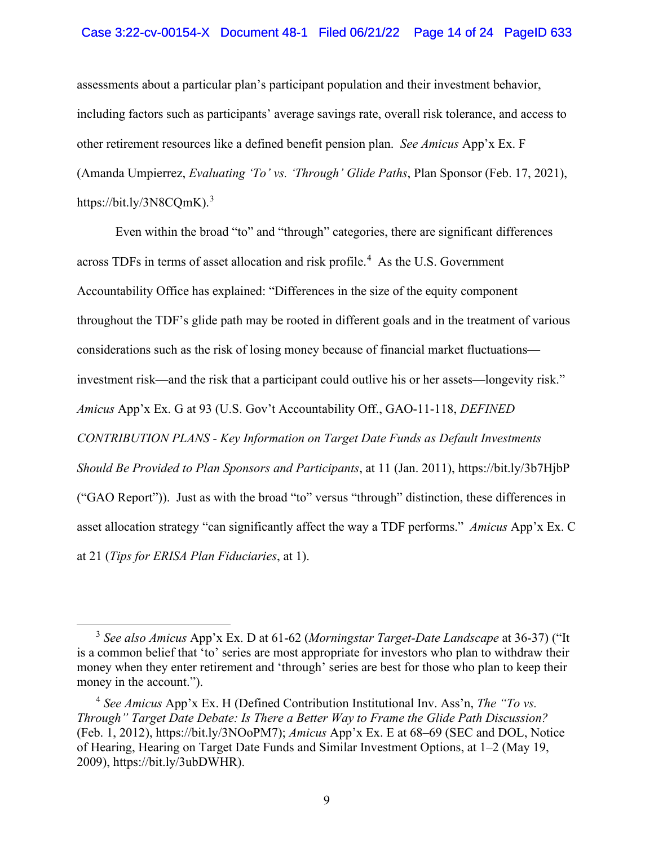### Case 3:22-cv-00154-X Document 48-1 Filed 06/21/22 Page 14 of 24 PageID 633

assessments about a particular plan's participant population and their investment behavior, including factors such as participants' average savings rate, overall risk tolerance, and access to other retirement resources like a defined benefit pension plan. *See Amicus* App'x Ex. F (Amanda Umpierrez, *Evaluating 'To' vs. 'Through' Glide Paths*, Plan Sponsor (Feb. 17, 2021), https://bit.ly/[3](#page-14-0)N8CQmK).<sup>3</sup>

Even within the broad "to" and "through" categories, there are significant differences across TDFs in terms of asset allocation and risk profile.<sup>[4](#page-15-0)</sup> As the U.S. Government Accountability Office has explained: "Differences in the size of the equity component throughout the TDF's glide path may be rooted in different goals and in the treatment of various considerations such as the risk of losing money because of financial market fluctuations investment risk—and the risk that a participant could outlive his or her assets—longevity risk." *Amicus* App'x Ex. G at 93 (U.S. Gov't Accountability Off., GAO-11-118, *DEFINED CONTRIBUTION PLANS - Key Information on Target Date Funds as Default Investments Should Be Provided to Plan Sponsors and Participants*, at 11 (Jan. 2011), https://bit.ly/3b7HjbP ("GAO Report")). Just as with the broad "to" versus "through" distinction, these differences in asset allocation strategy "can significantly affect the way a TDF performs." *Amicus* App'x Ex. C at 21 (*Tips for ERISA Plan Fiduciaries*, at 1).

<sup>3</sup> *See also Amicus* App'x Ex. D at 61-62 (*Morningstar Target-Date Landscape* at 36-37) ("It is a common belief that 'to' series are most appropriate for investors who plan to withdraw their money when they enter retirement and 'through' series are best for those who plan to keep their money in the account.").

<sup>4</sup> *See Amicus* App'x Ex. H (Defined Contribution Institutional Inv. Ass'n, *The "To vs. Through" Target Date Debate: Is There a Better Way to Frame the Glide Path Discussion?* (Feb. 1, 2012), https://bit.ly/3NOoPM7); *Amicus* App'x Ex. E at 68–69 (SEC and DOL, Notice of Hearing, Hearing on Target Date Funds and Similar Investment Options, at 1–2 (May 19, 2009), https://bit.ly/3ubDWHR).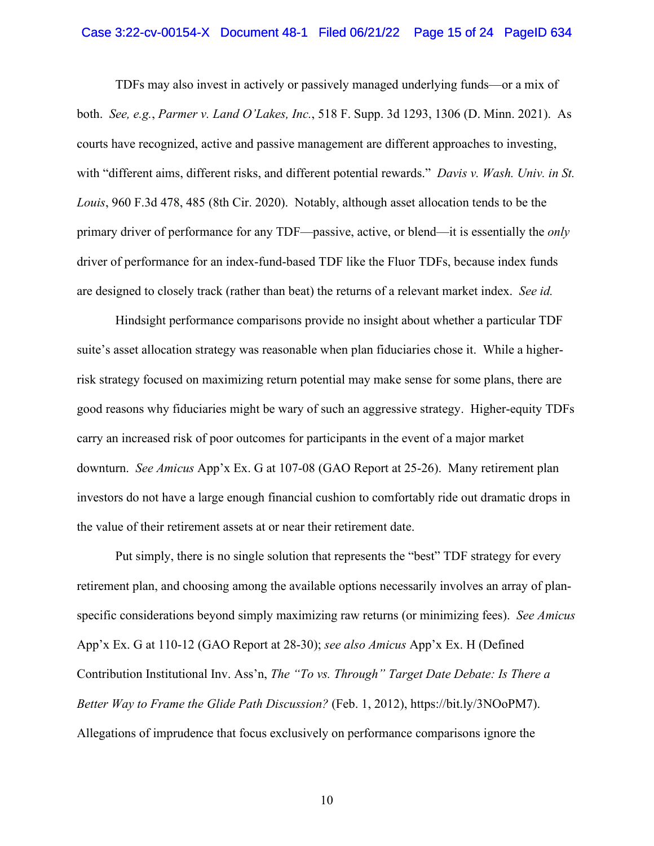### Case 3:22-cv-00154-X Document 48-1 Filed 06/21/22 Page 15 of 24 PageID 634

TDFs may also invest in actively or passively managed underlying funds—or a mix of both. *See, e.g.*, *Parmer v. Land O'Lakes, Inc.*, 518 F. Supp. 3d 1293, 1306 (D. Minn. 2021). As courts have recognized, active and passive management are different approaches to investing, with "different aims, different risks, and different potential rewards." *Davis v. Wash. Univ. in St. Louis*, 960 F.3d 478, 485 (8th Cir. 2020). Notably, although asset allocation tends to be the primary driver of performance for any TDF—passive, active, or blend—it is essentially the *only*  driver of performance for an index-fund-based TDF like the Fluor TDFs, because index funds are designed to closely track (rather than beat) the returns of a relevant market index. *See id.*

Hindsight performance comparisons provide no insight about whether a particular TDF suite's asset allocation strategy was reasonable when plan fiduciaries chose it. While a higherrisk strategy focused on maximizing return potential may make sense for some plans, there are good reasons why fiduciaries might be wary of such an aggressive strategy. Higher-equity TDFs carry an increased risk of poor outcomes for participants in the event of a major market downturn. *See Amicus* App'x Ex. G at 107-08 (GAO Report at 25-26). Many retirement plan investors do not have a large enough financial cushion to comfortably ride out dramatic drops in the value of their retirement assets at or near their retirement date.

<span id="page-14-0"></span>Put simply, there is no single solution that represents the "best" TDF strategy for every retirement plan, and choosing among the available options necessarily involves an array of planspecific considerations beyond simply maximizing raw returns (or minimizing fees). *See Amicus*  App'x Ex. G at 110-12 (GAO Report at 28-30); *see also Amicus* App'x Ex. H (Defined Contribution Institutional Inv. Ass'n, *The "To vs. Through" Target Date Debate: Is There a Better Way to Frame the Glide Path Discussion?* (Feb. 1, 2012), https://bit.ly/3NOoPM7). Allegations of imprudence that focus exclusively on performance comparisons ignore the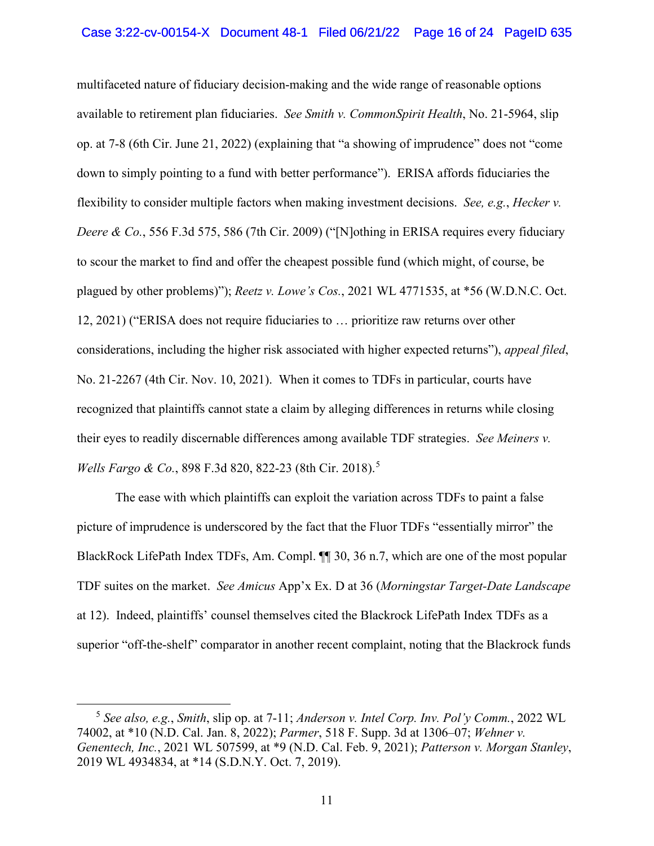multifaceted nature of fiduciary decision-making and the wide range of reasonable options available to retirement plan fiduciaries. *See Smith v. CommonSpirit Health*, No. 21-5964, slip op. at 7-8 (6th Cir. June 21, 2022) (explaining that "a showing of imprudence" does not "come down to simply pointing to a fund with better performance"). ERISA affords fiduciaries the flexibility to consider multiple factors when making investment decisions. *See, e.g.*, *Hecker v. Deere & Co.*, 556 F.3d 575, 586 (7th Cir. 2009) ("Nothing in ERISA requires every fiduciary to scour the market to find and offer the cheapest possible fund (which might, of course, be plagued by other problems)"); *Reetz v. Lowe's Cos.*, 2021 WL 4771535, at \*56 (W.D.N.C. Oct. 12, 2021) ("ERISA does not require fiduciaries to … prioritize raw returns over other considerations, including the higher risk associated with higher expected returns"), *appeal filed*, No. 21-2267 (4th Cir. Nov. 10, 2021). When it comes to TDFs in particular, courts have recognized that plaintiffs cannot state a claim by alleging differences in returns while closing their eyes to readily discernable differences among available TDF strategies. *See Meiners v. Wells Fargo & Co.*, 898 F.3d 820, 822-23 (8th Cir. 2018). [5](#page-17-1)

The ease with which plaintiffs can exploit the variation across TDFs to paint a false picture of imprudence is underscored by the fact that the Fluor TDFs "essentially mirror" the BlackRock LifePath Index TDFs, Am. Compl. ¶¶ 30, 36 n.7, which are one of the most popular TDF suites on the market. *See Amicus* App'x Ex. D at 36 (*Morningstar Target-Date Landscape* at 12). Indeed, plaintiffs' counsel themselves cited the Blackrock LifePath Index TDFs as a superior "off-the-shelf" comparator in another recent complaint, noting that the Blackrock funds

<span id="page-15-0"></span><sup>5</sup> *See also, e.g.*, *Smith*, slip op. at 7-11; *Anderson v. Intel Corp. Inv. Pol'y Comm.*, 2022 WL 74002, at \*10 (N.D. Cal. Jan. 8, 2022); *Parmer*, 518 F. Supp. 3d at 1306–07; *Wehner v. Genentech, Inc.*, 2021 WL 507599, at \*9 (N.D. Cal. Feb. 9, 2021); *Patterson v. Morgan Stanley*, 2019 WL 4934834, at \*14 (S.D.N.Y. Oct. 7, 2019).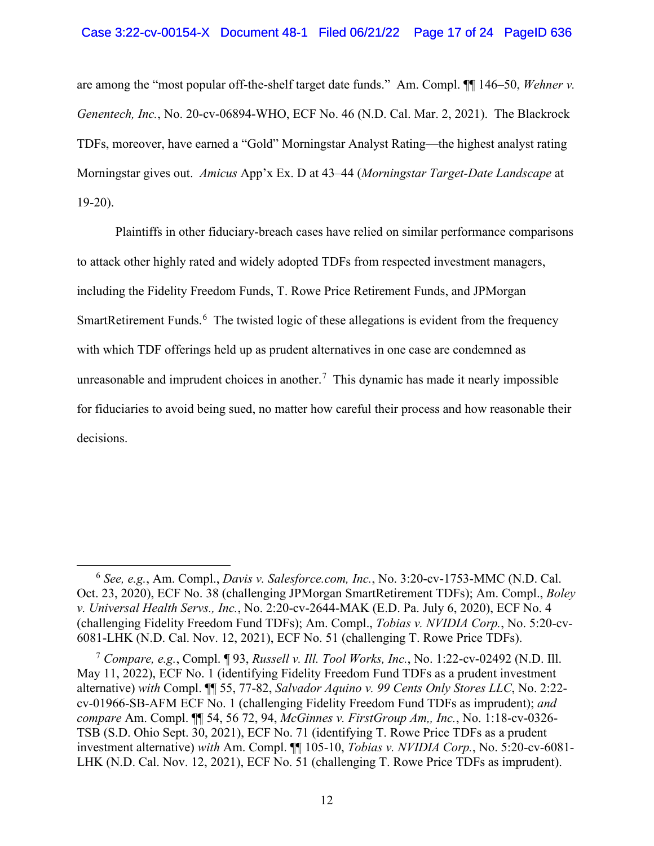are among the "most popular off-the-shelf target date funds." Am. Compl. ¶¶ 146–50, *Wehner v. Genentech, Inc.*, No. 20-cv-06894-WHO, ECF No. 46 (N.D. Cal. Mar. 2, 2021). The Blackrock TDFs, moreover, have earned a "Gold" Morningstar Analyst Rating—the highest analyst rating Morningstar gives out. *Amicus* App'x Ex. D at 43–44 (*Morningstar Target-Date Landscape* at 19-20).

Plaintiffs in other fiduciary-breach cases have relied on similar performance comparisons to attack other highly rated and widely adopted TDFs from respected investment managers, including the Fidelity Freedom Funds, T. Rowe Price Retirement Funds, and JPMorgan SmartRetirement Funds.<sup>[6](#page-18-0)</sup> The twisted logic of these allegations is evident from the frequency with which TDF offerings held up as prudent alternatives in one case are condemned as unreasonable and imprudent choices in another.<sup>[7](#page-19-1)</sup> This dynamic has made it nearly impossible for fiduciaries to avoid being sued, no matter how careful their process and how reasonable their decisions.

<sup>6</sup> *See, e.g.*, Am. Compl., *Davis v. Salesforce.com, Inc.*, No. 3:20-cv-1753-MMC (N.D. Cal. Oct. 23, 2020), ECF No. 38 (challenging JPMorgan SmartRetirement TDFs); Am. Compl., *Boley v. Universal Health Servs., Inc.*, No. 2:20-cv-2644-MAK (E.D. Pa. July 6, 2020), ECF No. 4 (challenging Fidelity Freedom Fund TDFs); Am. Compl., *Tobias v. NVIDIA Corp.*, No. 5:20-cv-6081-LHK (N.D. Cal. Nov. 12, 2021), ECF No. 51 (challenging T. Rowe Price TDFs).

<sup>7</sup> *Compare, e.g.*, Compl. ¶ 93, *Russell v. Ill. Tool Works, Inc.*, No. 1:22-cv-02492 (N.D. Ill. May 11, 2022), ECF No. 1 (identifying Fidelity Freedom Fund TDFs as a prudent investment alternative) *with* Compl. ¶¶ 55, 77-82, *Salvador Aquino v. 99 Cents Only Stores LLC*, No. 2:22 cv-01966-SB-AFM ECF No. 1 (challenging Fidelity Freedom Fund TDFs as imprudent); *and compare* Am. Compl. ¶¶ 54, 56 72, 94, *McGinnes v. FirstGroup Am,, Inc.*, No. 1:18-cv-0326- TSB (S.D. Ohio Sept. 30, 2021), ECF No. 71 (identifying T. Rowe Price TDFs as a prudent investment alternative) *with* Am. Compl. ¶¶ 105-10, *Tobias v. NVIDIA Corp.*, No. 5:20-cv-6081- LHK (N.D. Cal. Nov. 12, 2021), ECF No. 51 (challenging T. Rowe Price TDFs as imprudent).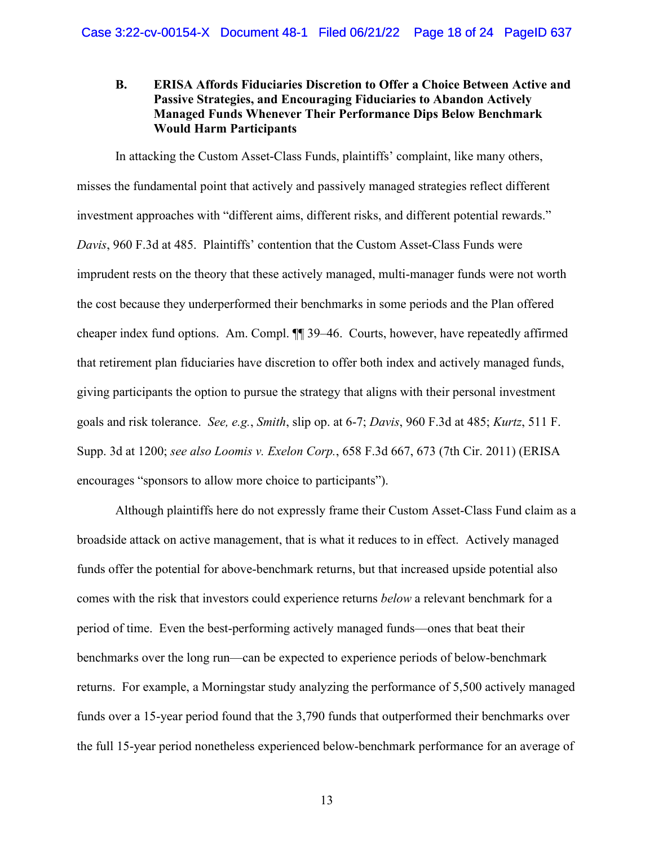## <span id="page-17-0"></span>**B. ERISA Affords Fiduciaries Discretion to Offer a Choice Between Active and Passive Strategies, and Encouraging Fiduciaries to Abandon Actively Managed Funds Whenever Their Performance Dips Below Benchmark Would Harm Participants**

In attacking the Custom Asset-Class Funds, plaintiffs' complaint, like many others, misses the fundamental point that actively and passively managed strategies reflect different investment approaches with "different aims, different risks, and different potential rewards." *Davis*, 960 F.3d at 485. Plaintiffs' contention that the Custom Asset-Class Funds were imprudent rests on the theory that these actively managed, multi-manager funds were not worth the cost because they underperformed their benchmarks in some periods and the Plan offered cheaper index fund options. Am. Compl. ¶¶ 39–46. Courts, however, have repeatedly affirmed that retirement plan fiduciaries have discretion to offer both index and actively managed funds, giving participants the option to pursue the strategy that aligns with their personal investment goals and risk tolerance. *See, e.g.*, *Smith*, slip op. at 6-7; *Davis*, 960 F.3d at 485; *Kurtz*, 511 F. Supp. 3d at 1200; *see also Loomis v. Exelon Corp.*, 658 F.3d 667, 673 (7th Cir. 2011) (ERISA encourages "sponsors to allow more choice to participants").

<span id="page-17-1"></span>Although plaintiffs here do not expressly frame their Custom Asset-Class Fund claim as a broadside attack on active management, that is what it reduces to in effect. Actively managed funds offer the potential for above-benchmark returns, but that increased upside potential also comes with the risk that investors could experience returns *below* a relevant benchmark for a period of time. Even the best-performing actively managed funds—ones that beat their benchmarks over the long run—can be expected to experience periods of below-benchmark returns. For example, a Morningstar study analyzing the performance of 5,500 actively managed funds over a 15-year period found that the 3,790 funds that outperformed their benchmarks over the full 15-year period nonetheless experienced below-benchmark performance for an average of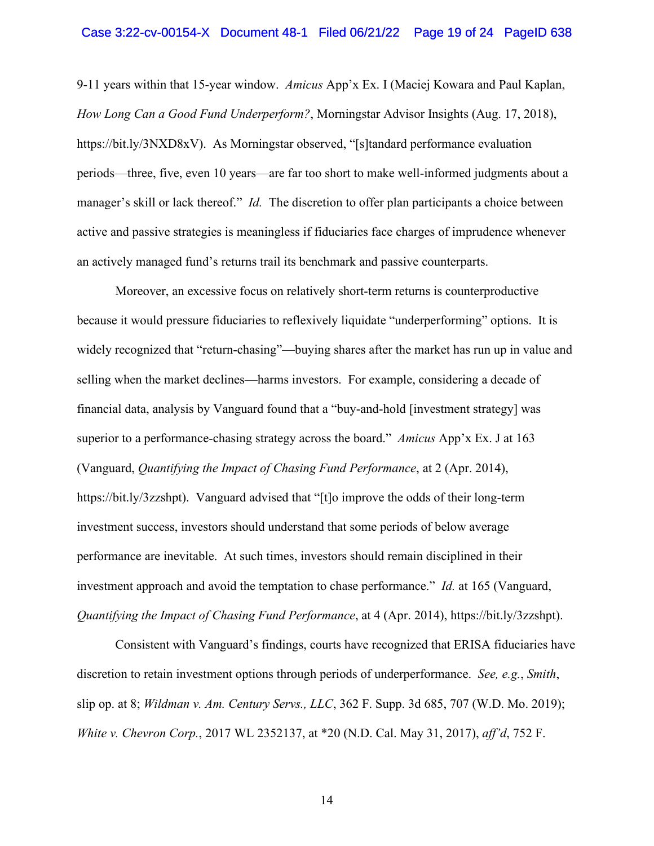#### Case 3:22-cv-00154-X Document 48-1 Filed 06/21/22 Page 19 of 24 PageID 638

9-11 years within that 15-year window. *Amicus* App'x Ex. I (Maciej Kowara and Paul Kaplan, *How Long Can a Good Fund Underperform?*, Morningstar Advisor Insights (Aug. 17, 2018), https://bit.ly/3NXD8xV). As Morningstar observed, "[s]tandard performance evaluation periods—three, five, even 10 years—are far too short to make well-informed judgments about a manager's skill or lack thereof." *Id.* The discretion to offer plan participants a choice between active and passive strategies is meaningless if fiduciaries face charges of imprudence whenever an actively managed fund's returns trail its benchmark and passive counterparts.

Moreover, an excessive focus on relatively short-term returns is counterproductive because it would pressure fiduciaries to reflexively liquidate "underperforming" options. It is widely recognized that "return-chasing"—buying shares after the market has run up in value and selling when the market declines—harms investors. For example, considering a decade of financial data, analysis by Vanguard found that a "buy-and-hold [investment strategy] was superior to a performance-chasing strategy across the board." *Amicus* App'x Ex. J at 163 (Vanguard, *Quantifying the Impact of Chasing Fund Performance*, at 2 (Apr. 2014), https://bit.ly/3zzshpt). Vanguard advised that "[t]o improve the odds of their long-term investment success, investors should understand that some periods of below average performance are inevitable. At such times, investors should remain disciplined in their investment approach and avoid the temptation to chase performance." *Id.* at 165 (Vanguard, *Quantifying the Impact of Chasing Fund Performance*, at 4 (Apr. 2014), https://bit.ly/3zzshpt).

<span id="page-18-0"></span>Consistent with Vanguard's findings, courts have recognized that ERISA fiduciaries have discretion to retain investment options through periods of underperformance. *See, e.g.*, *Smith*, slip op. at 8; *Wildman v. Am. Century Servs., LLC*, 362 F. Supp. 3d 685, 707 (W.D. Mo. 2019); *White v. Chevron Corp.*, 2017 WL 2352137, at \*20 (N.D. Cal. May 31, 2017), *aff'd*, 752 F.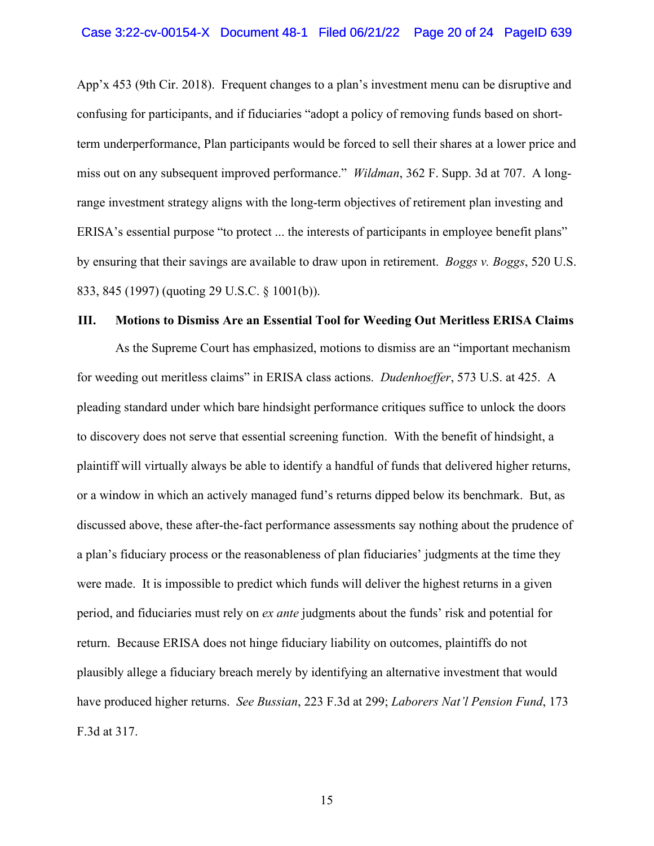App'x 453 (9th Cir. 2018). Frequent changes to a plan's investment menu can be disruptive and confusing for participants, and if fiduciaries "adopt a policy of removing funds based on shortterm underperformance, Plan participants would be forced to sell their shares at a lower price and miss out on any subsequent improved performance." *Wildman*, 362 F. Supp. 3d at 707. A longrange investment strategy aligns with the long-term objectives of retirement plan investing and ERISA's essential purpose "to protect ... the interests of participants in employee benefit plans" by ensuring that their savings are available to draw upon in retirement. *Boggs v. Boggs*, 520 U.S. 833, 845 (1997) (quoting 29 U.S.C. § 1001(b)).

#### <span id="page-19-0"></span>**III. Motions to Dismiss Are an Essential Tool for Weeding Out Meritless ERISA Claims**

<span id="page-19-1"></span>As the Supreme Court has emphasized, motions to dismiss are an "important mechanism for weeding out meritless claims" in ERISA class actions. *Dudenhoeffer*, 573 U.S. at 425. A pleading standard under which bare hindsight performance critiques suffice to unlock the doors to discovery does not serve that essential screening function. With the benefit of hindsight, a plaintiff will virtually always be able to identify a handful of funds that delivered higher returns, or a window in which an actively managed fund's returns dipped below its benchmark. But, as discussed above, these after-the-fact performance assessments say nothing about the prudence of a plan's fiduciary process or the reasonableness of plan fiduciaries' judgments at the time they were made. It is impossible to predict which funds will deliver the highest returns in a given period, and fiduciaries must rely on *ex ante* judgments about the funds' risk and potential for return. Because ERISA does not hinge fiduciary liability on outcomes, plaintiffs do not plausibly allege a fiduciary breach merely by identifying an alternative investment that would have produced higher returns. *See Bussian*, 223 F.3d at 299; *Laborers Nat'l Pension Fund*, 173 F.3d at 317.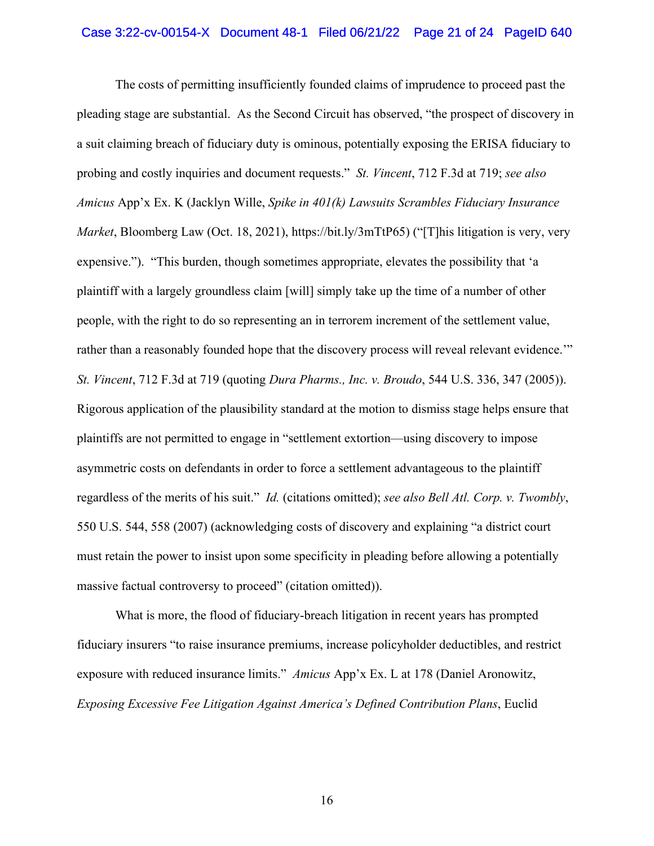The costs of permitting insufficiently founded claims of imprudence to proceed past the pleading stage are substantial. As the Second Circuit has observed, "the prospect of discovery in a suit claiming breach of fiduciary duty is ominous, potentially exposing the ERISA fiduciary to probing and costly inquiries and document requests." *St. Vincent*, 712 F.3d at 719; *see also Amicus* App'x Ex. K (Jacklyn Wille, *Spike in 401(k) Lawsuits Scrambles Fiduciary Insurance Market*, Bloomberg Law (Oct. 18, 2021), https://bit.ly/3mTtP65) ("[T]his litigation is very, very expensive."). "This burden, though sometimes appropriate, elevates the possibility that 'a plaintiff with a largely groundless claim [will] simply take up the time of a number of other people, with the right to do so representing an in terrorem increment of the settlement value, rather than a reasonably founded hope that the discovery process will reveal relevant evidence." *St. Vincent*, 712 F.3d at 719 (quoting *Dura Pharms., Inc. v. Broudo*, 544 U.S. 336, 347 (2005)). Rigorous application of the plausibility standard at the motion to dismiss stage helps ensure that plaintiffs are not permitted to engage in "settlement extortion—using discovery to impose asymmetric costs on defendants in order to force a settlement advantageous to the plaintiff regardless of the merits of his suit." *Id.* (citations omitted); *see also Bell Atl. Corp. v. Twombly*, 550 U.S. 544, 558 (2007) (acknowledging costs of discovery and explaining "a district court must retain the power to insist upon some specificity in pleading before allowing a potentially massive factual controversy to proceed" (citation omitted)).

What is more, the flood of fiduciary-breach litigation in recent years has prompted fiduciary insurers "to raise insurance premiums, increase policyholder deductibles, and restrict exposure with reduced insurance limits." *Amicus* App'x Ex. L at 178 (Daniel Aronowitz, *Exposing Excessive Fee Litigation Against America's Defined Contribution Plans*, Euclid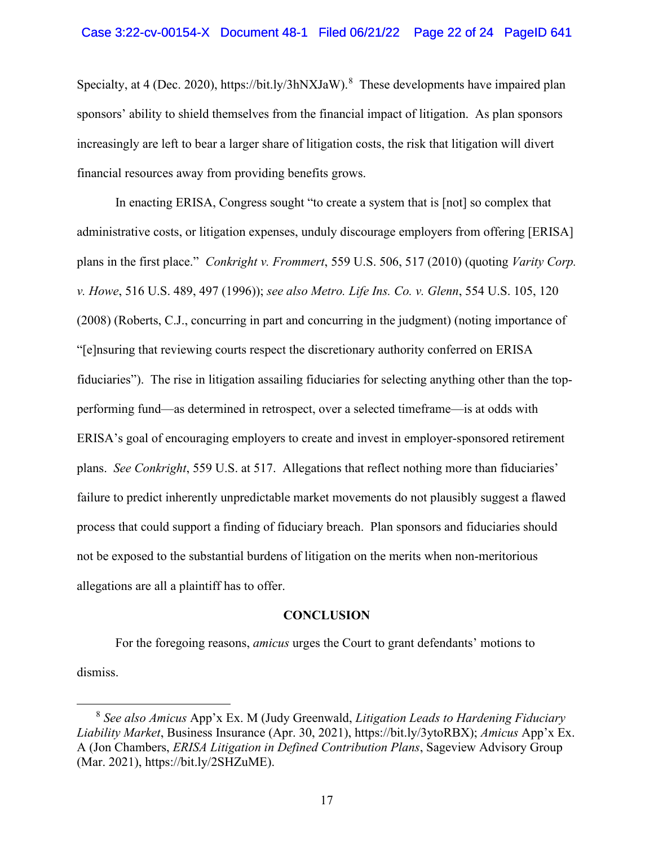Specialty, at 4 (Dec. 2020), https://bit.ly/3hNXJaW).<sup>[8](#page-23-0)</sup> These developments have impaired plan sponsors' ability to shield themselves from the financial impact of litigation. As plan sponsors increasingly are left to bear a larger share of litigation costs, the risk that litigation will divert financial resources away from providing benefits grows.

In enacting ERISA, Congress sought "to create a system that is [not] so complex that administrative costs, or litigation expenses, unduly discourage employers from offering [ERISA] plans in the first place." *Conkright v. Frommert*, 559 U.S. 506, 517 (2010) (quoting *Varity Corp. v. Howe*, 516 U.S. 489, 497 (1996)); *see also Metro. Life Ins. Co. v. Glenn*, 554 U.S. 105, 120 (2008) (Roberts, C.J., concurring in part and concurring in the judgment) (noting importance of "[e]nsuring that reviewing courts respect the discretionary authority conferred on ERISA fiduciaries"). The rise in litigation assailing fiduciaries for selecting anything other than the topperforming fund—as determined in retrospect, over a selected timeframe—is at odds with ERISA's goal of encouraging employers to create and invest in employer-sponsored retirement plans. *See Conkright*, 559 U.S. at 517. Allegations that reflect nothing more than fiduciaries' failure to predict inherently unpredictable market movements do not plausibly suggest a flawed process that could support a finding of fiduciary breach. Plan sponsors and fiduciaries should not be exposed to the substantial burdens of litigation on the merits when non-meritorious allegations are all a plaintiff has to offer.

#### **CONCLUSION**

<span id="page-21-0"></span>For the foregoing reasons, *amicus* urges the Court to grant defendants' motions to dismiss.

<sup>8</sup> *See also Amicus* App'x Ex. M (Judy Greenwald, *Litigation Leads to Hardening Fiduciary Liability Market*, Business Insurance (Apr. 30, 2021), https://bit.ly/3ytoRBX); *Amicus* App'x Ex. A (Jon Chambers, *ERISA Litigation in Defined Contribution Plans*, Sageview Advisory Group (Mar. 2021), https://bit.ly/2SHZuME).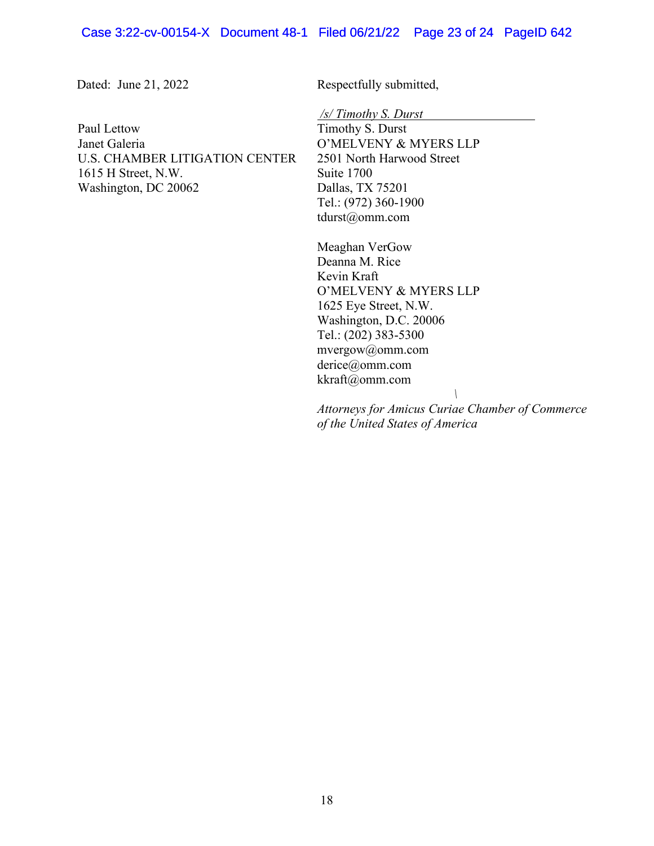Dated: June 21, 2022 Respectfully submitted,

Paul Lettow Janet Galeria U.S. CHAMBER LITIGATION CENTER 1615 H Street, N.W. Washington, DC 20062

*/s/ Timothy S. Durst* 

Timothy S. Durst O'MELVENY & MYERS LLP 2501 North Harwood Street Suite 1700 Dallas, TX 75201 Tel.: (972) 360-1900 tdurst@omm.com

Meaghan VerGow Deanna M. Rice Kevin Kraft O'MELVENY & MYERS LLP 1625 Eye Street, N.W. Washington, D.C. 20006 Tel.: (202) 383-5300 mvergow@omm.com derice@omm.com kkraft@omm.com *\*

*Attorneys for Amicus Curiae Chamber of Commerce of the United States of America*